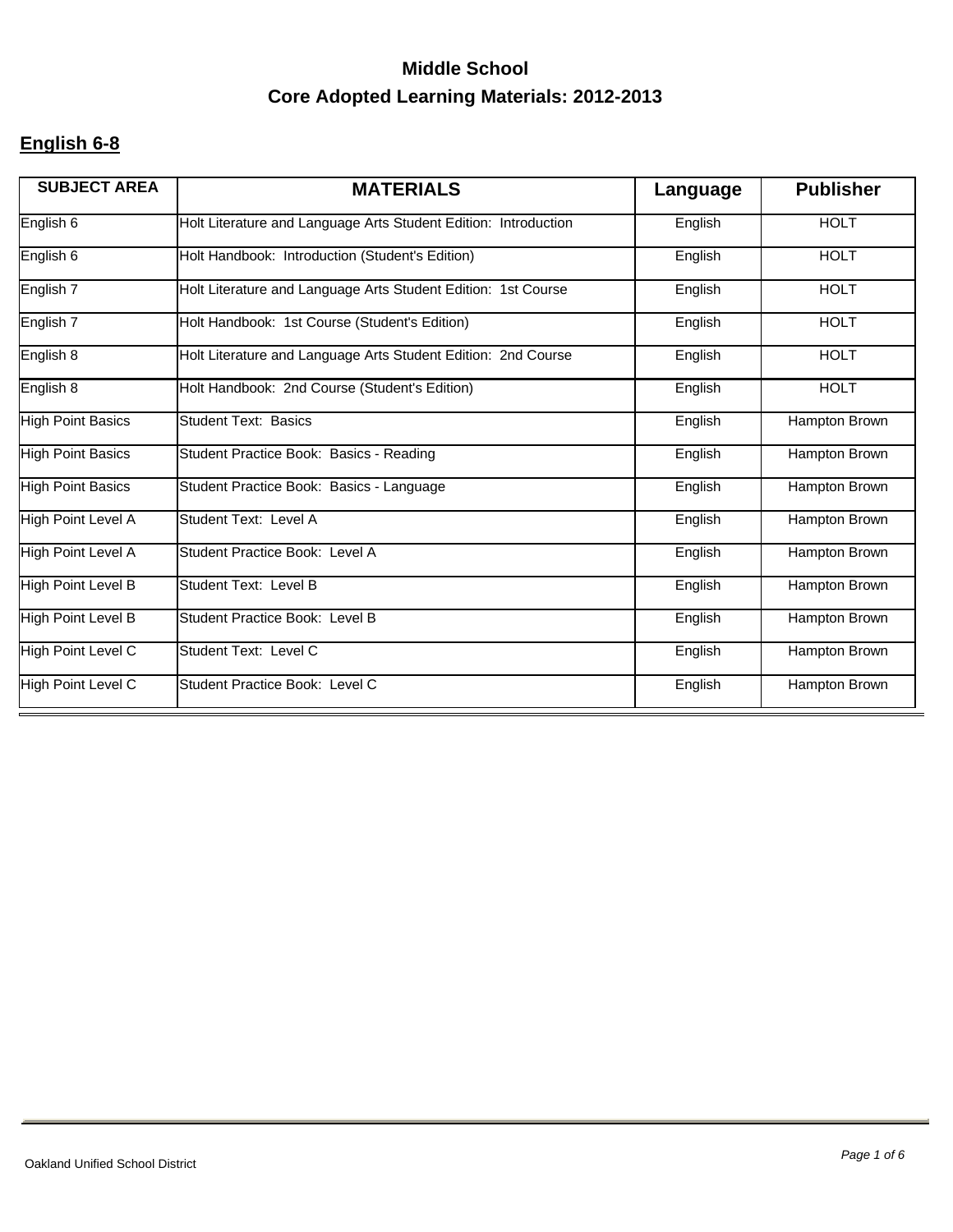### **English 6-8**

| <b>SUBJECT AREA</b>      | <b>MATERIALS</b>                                                | Language | <b>Publisher</b> |
|--------------------------|-----------------------------------------------------------------|----------|------------------|
| English 6                | Holt Literature and Language Arts Student Edition: Introduction | English  | <b>HOLT</b>      |
| English 6                | Holt Handbook: Introduction (Student's Edition)                 | English  | <b>HOLT</b>      |
| English 7                | Holt Literature and Language Arts Student Edition: 1st Course   | English  | <b>HOLT</b>      |
| English 7                | Holt Handbook: 1st Course (Student's Edition)                   | English  | <b>HOLT</b>      |
| English 8                | Holt Literature and Language Arts Student Edition: 2nd Course   | English  | <b>HOLT</b>      |
| English 8                | Holt Handbook: 2nd Course (Student's Edition)                   | English  | <b>HOLT</b>      |
| <b>High Point Basics</b> | <b>Student Text: Basics</b>                                     | English  | Hampton Brown    |
| <b>High Point Basics</b> | Student Practice Book: Basics - Reading                         | English  | Hampton Brown    |
| <b>High Point Basics</b> | Student Practice Book: Basics - Language                        | English  | Hampton Brown    |
| High Point Level A       | Student Text: Level A                                           | English  | Hampton Brown    |
| High Point Level A       | Student Practice Book: Level A                                  | English  | Hampton Brown    |
| High Point Level B       | Student Text: Level B                                           | English  | Hampton Brown    |
| High Point Level B       | Student Practice Book: Level B                                  | English  | Hampton Brown    |
| High Point Level C       | Student Text: Level C                                           | English  | Hampton Brown    |
| High Point Level C       | Student Practice Book: Level C                                  | English  | Hampton Brown    |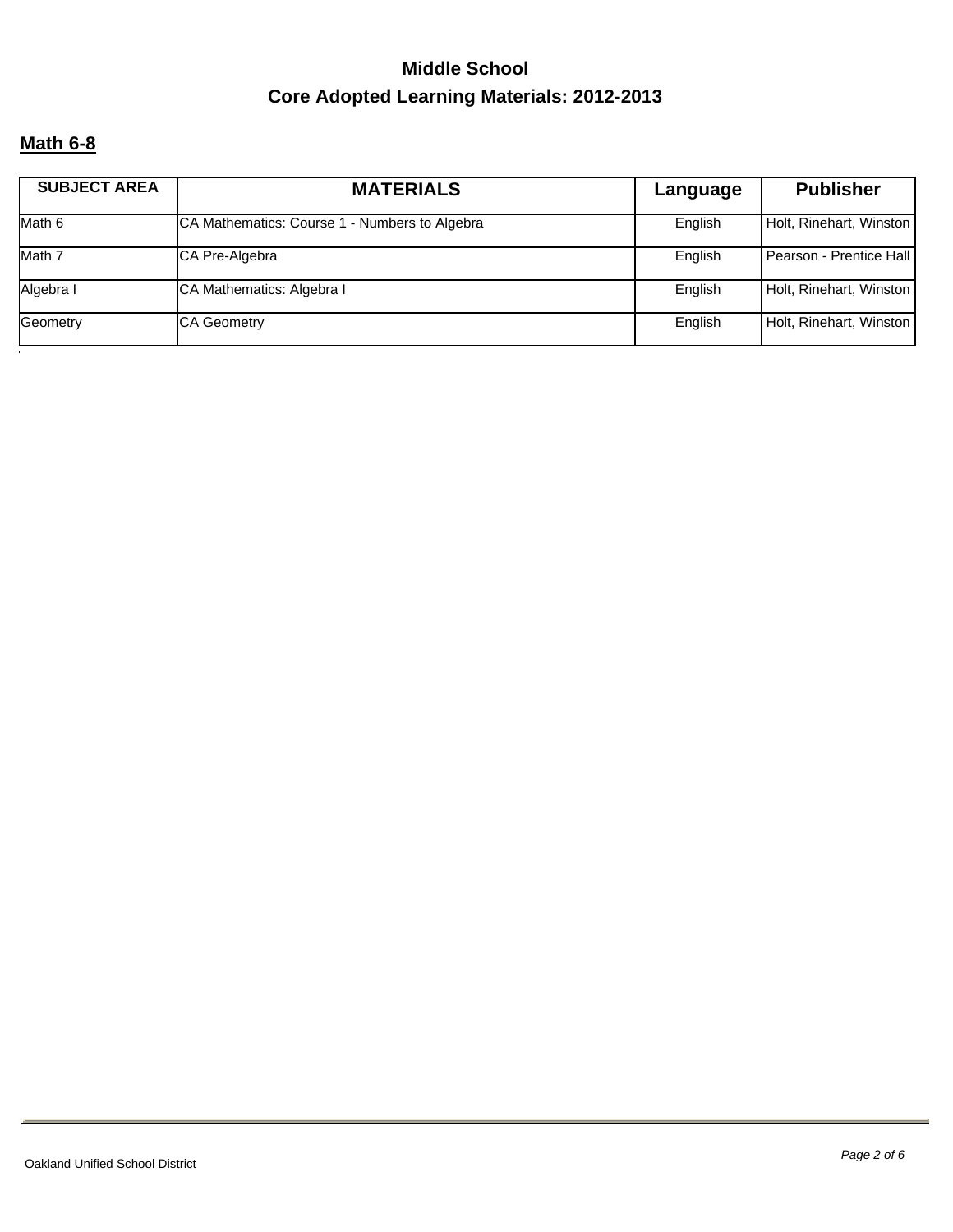#### **Math 6-8**

| <b>SUBJECT AREA</b> | <b>MATERIALS</b>                              | Language | <b>Publisher</b>        |
|---------------------|-----------------------------------------------|----------|-------------------------|
| Math 6              | CA Mathematics: Course 1 - Numbers to Algebra | English  | Holt, Rinehart, Winston |
| Math 7              | CA Pre-Algebra                                | English  | Pearson - Prentice Hall |
| Algebra I           | <b>CA Mathematics: Algebra I</b>              | English  | Holt, Rinehart, Winston |
| Geometry            | <b>CA Geometry</b>                            | English  | Holt, Rinehart, Winston |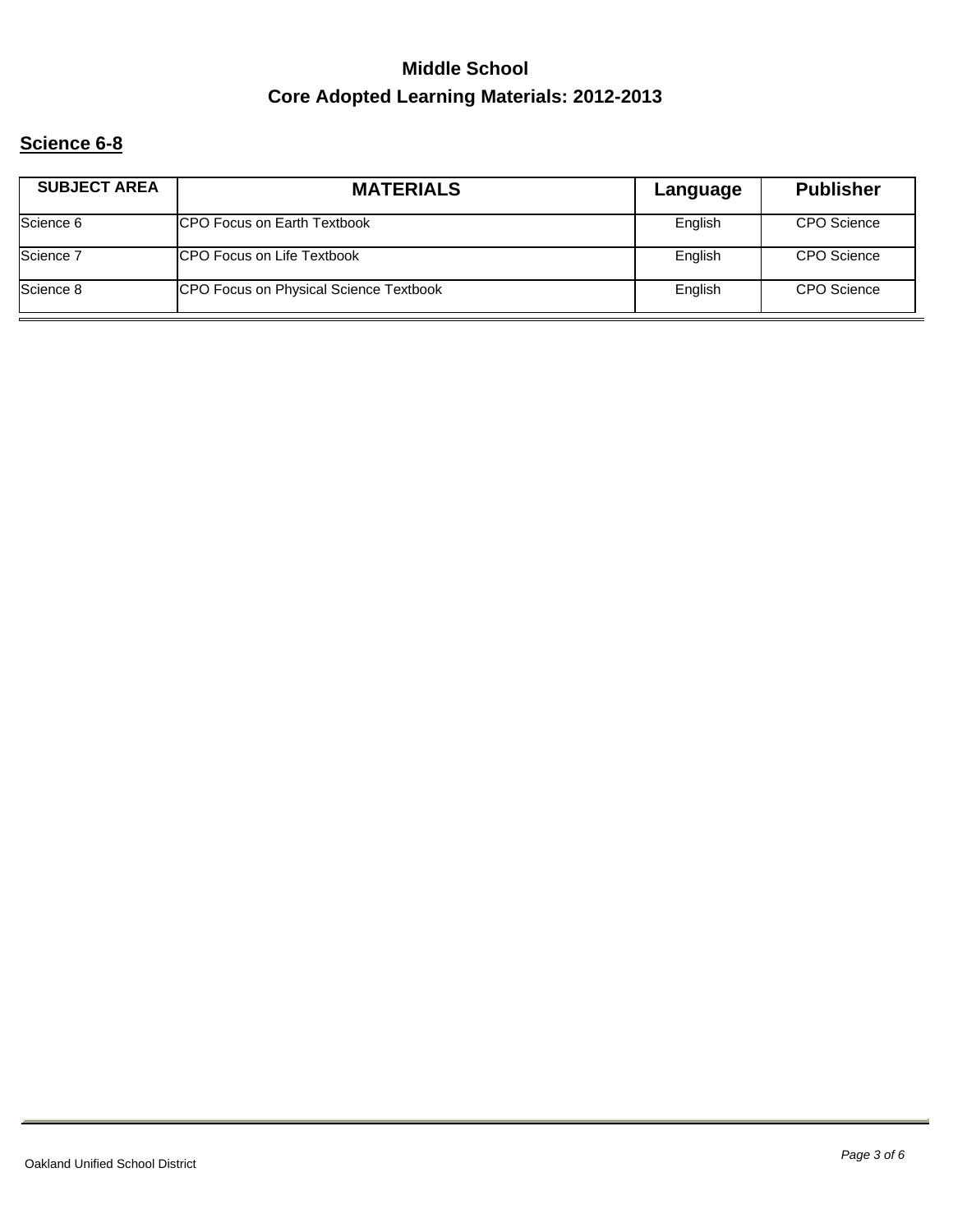### **Science 6-8**

| <b>SUBJECT AREA</b> | <b>MATERIALS</b>                       | Language | <b>Publisher</b>   |
|---------------------|----------------------------------------|----------|--------------------|
| Science 6           | <b>ICPO Focus on Earth Textbook</b>    | English  | <b>CPO</b> Science |
| Science 7           | <b>ICPO Focus on Life Textbook</b>     | English  | CPO Science        |
| Science 8           | CPO Focus on Physical Science Textbook | English  | <b>CPO</b> Science |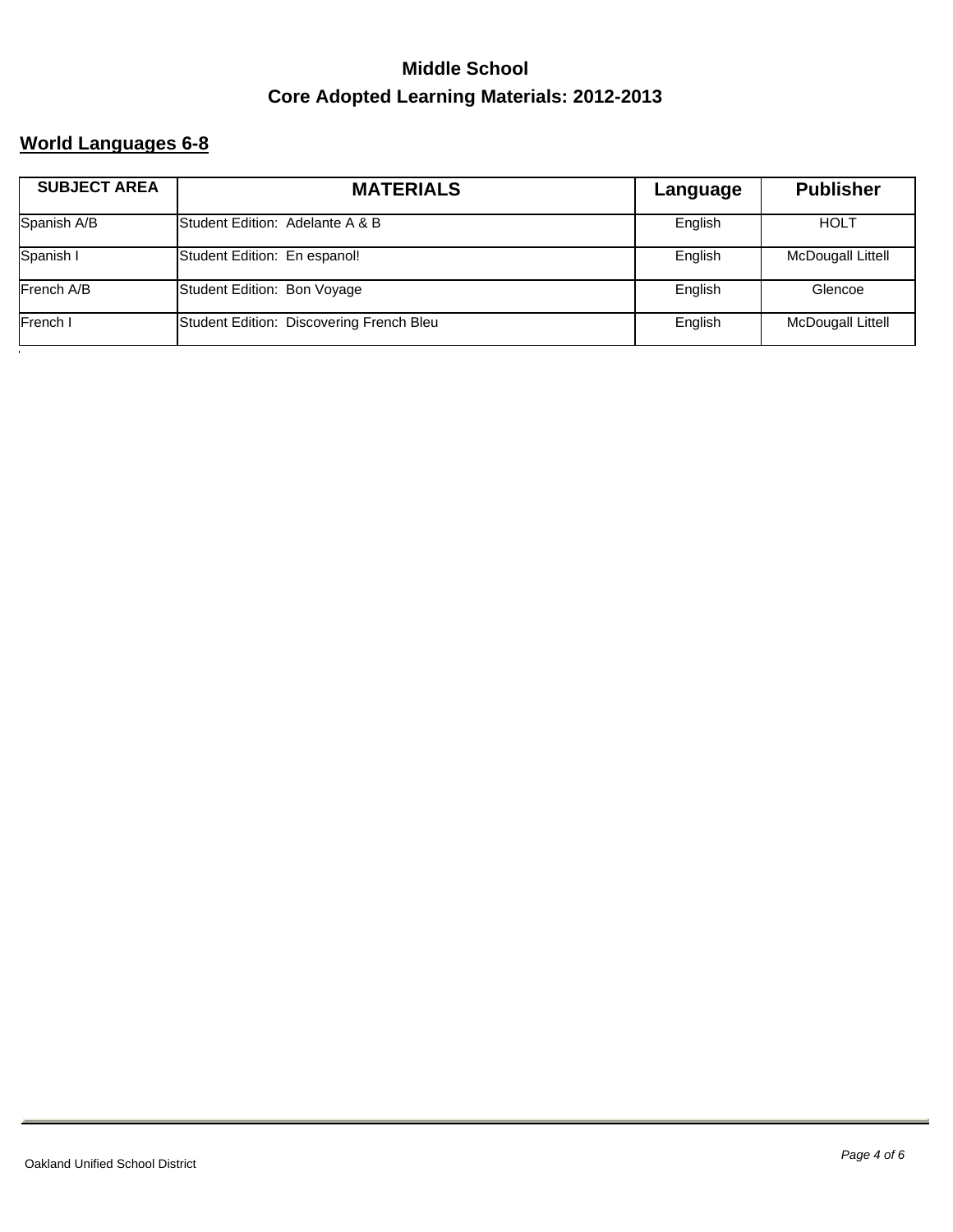### **World Languages 6-8**

| <b>SUBJECT AREA</b> | <b>MATERIALS</b>                         | Language | <b>Publisher</b>         |
|---------------------|------------------------------------------|----------|--------------------------|
| Spanish A/B         | Student Edition: Adelante A & B          | English  | <b>HOLT</b>              |
| Spanish I           | Student Edition: En espanol!             | English  | McDougall Littell        |
| French A/B          | Student Edition: Bon Voyage              | English  | Glencoe                  |
| French I            | Student Edition: Discovering French Bleu | English  | <b>McDougall Littell</b> |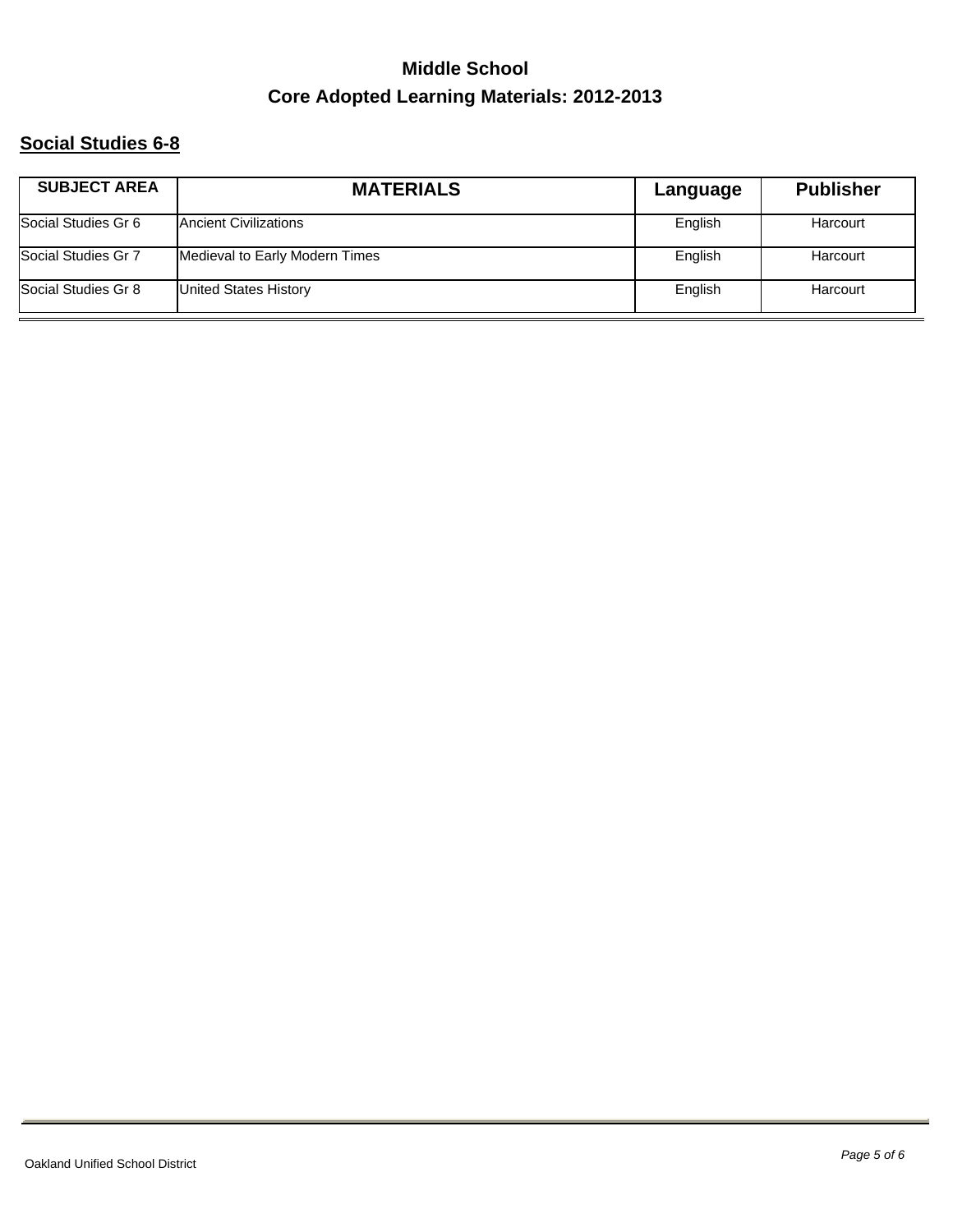### **Social Studies 6-8**

| <b>SUBJECT AREA</b> | <b>MATERIALS</b>               | Language | <b>Publisher</b> |
|---------------------|--------------------------------|----------|------------------|
| Social Studies Gr 6 | <b>Ancient Civilizations</b>   | English  | Harcourt         |
| Social Studies Gr 7 | Medieval to Early Modern Times | English  | Harcourt         |
| Social Studies Gr 8 | United States History          | English  | Harcourt         |